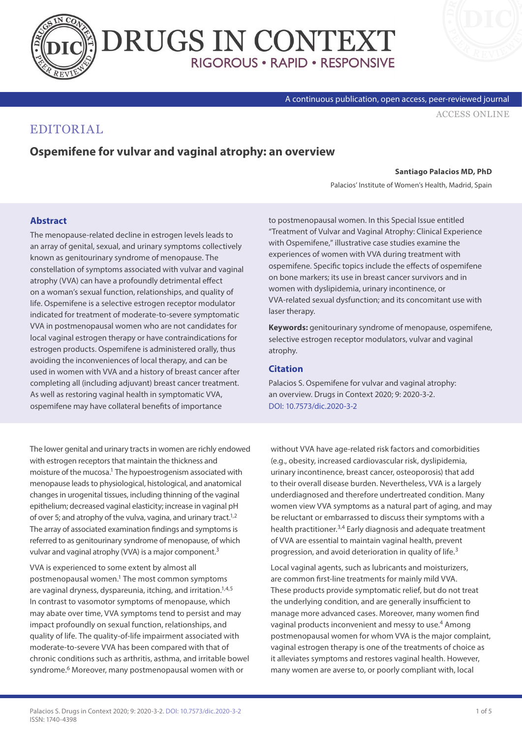



[ACCESS ONLINE](https://www.drugsincontext.com/ospemifene-for-vulvar-and-vaginal-atrophy:-an-overview)

A continuous publication, open access, peer-reviewed journal

## EDITORIAL

## **Ospemifene for vulvar and vaginal atrophy: an overview**

#### **Santiago Palacios MD, PhD**

Palacios' Institute of Women's Health, Madrid, Spain

### **Abstract**

The menopause-related decline in estrogen levels leads to an array of genital, sexual, and urinary symptoms collectively known as genitourinary syndrome of menopause. The constellation of symptoms associated with vulvar and vaginal atrophy (VVA) can have a profoundly detrimental effect on a woman's sexual function, relationships, and quality of life. Ospemifene is a selective estrogen receptor modulator indicated for treatment of moderate-to-severe symptomatic VVA in postmenopausal women who are not candidates for local vaginal estrogen therapy or have contraindications for estrogen products. Ospemifene is administered orally, thus avoiding the inconveniences of local therapy, and can be used in women with VVA and a history of breast cancer after completing all (including adjuvant) breast cancer treatment. As well as restoring vaginal health in symptomatic VVA, ospemifene may have collateral benefits of importance

to postmenopausal women. In this Special Issue entitled "Treatment of Vulvar and Vaginal Atrophy: Clinical Experience with Ospemifene," illustrative case studies examine the experiences of women with VVA during treatment with ospemifene. Specific topics include the effects of ospemifene on bone markers; its use in breast cancer survivors and in women with dyslipidemia, urinary incontinence, or VVA-related sexual dysfunction; and its concomitant use with laser therapy.

**Keywords:** genitourinary syndrome of menopause, ospemifene, selective estrogen receptor modulators, vulvar and vaginal atrophy.

#### **Citation**

Palacios S. Ospemifene for vulvar and vaginal atrophy: an overview. Drugs in Context 2020; 9: 2020-3-2. [DOI: 10.7573/dic.2020-3-2](https://doi.org/10.7573/dic.2020-3-2)

The lower genital and urinary tracts in women are richly endowed with estrogen receptors that maintain the thickness and moisture of the mucosa.<sup>1</sup> The hypoestrogenism associated with menopause leads to physiological, histological, and anatomical changes in urogenital tissues, including thinning of the vaginal epithelium; decreased vaginal elasticity; increase in vaginal pH of over 5; and atrophy of the vulva, vagina, and urinary tract.<sup>1,2</sup> The array of associated examination findings and symptoms is referred to as genitourinary syndrome of menopause, of which vulvar and vaginal atrophy (VVA) is a major component.3

VVA is experienced to some extent by almost all postmenopausal women.<sup>1</sup> The most common symptoms are vaginal dryness, dyspareunia, itching, and irritation.<sup>1,4,5</sup> In contrast to vasomotor symptoms of menopause, which may abate over time, VVA symptoms tend to persist and may impact profoundly on sexual function, relationships, and quality of life. The quality-of-life impairment associated with moderate-to-severe VVA has been compared with that of chronic conditions such as arthritis, asthma, and irritable bowel syndrome.<sup>6</sup> Moreover, many postmenopausal women with or

without VVA have age-related risk factors and comorbidities (e.g., obesity, increased cardiovascular risk, dyslipidemia, urinary incontinence, breast cancer, osteoporosis) that add to their overall disease burden. Nevertheless, VVA is a largely underdiagnosed and therefore undertreated condition. Many women view VVA symptoms as a natural part of aging, and may be reluctant or embarrassed to discuss their symptoms with a health practitioner.<sup>3,4</sup> Early diagnosis and adequate treatment of VVA are essential to maintain vaginal health, prevent progression, and avoid deterioration in quality of life.3

Local vaginal agents, such as lubricants and moisturizers, are common first-line treatments for mainly mild VVA. These products provide symptomatic relief, but do not treat the underlying condition, and are generally insufficient to manage more advanced cases. Moreover, many women find vaginal products inconvenient and messy to use.<sup>4</sup> Among postmenopausal women for whom VVA is the major complaint, vaginal estrogen therapy is one of the treatments of choice as it alleviates symptoms and restores vaginal health. However, many women are averse to, or poorly compliant with, local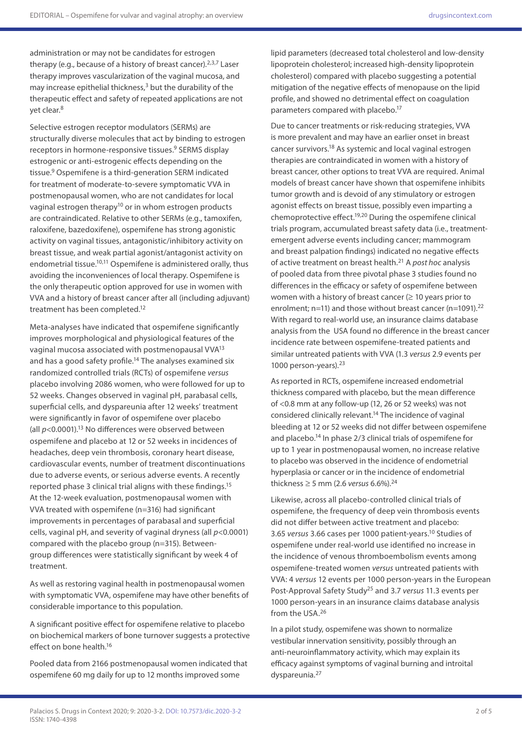administration or may not be candidates for estrogen therapy (e.g., because of a history of breast cancer).  $2,3,7$  Laser therapy improves vascularization of the vaginal mucosa, and may increase epithelial thickness, $3$  but the durability of the therapeutic effect and safety of repeated applications are not yet clear.<sup>8</sup>

Selective estrogen receptor modulators (SERMs) are structurally diverse molecules that act by binding to estrogen receptors in hormone-responsive tissues.9 SERMS display estrogenic or anti-estrogenic effects depending on the tissue.9 Ospemifene is a third-generation SERM indicated for treatment of moderate-to-severe symptomatic VVA in postmenopausal women, who are not candidates for local vaginal estrogen therapy<sup>10</sup> or in whom estrogen products are contraindicated. Relative to other SERMs (e.g., tamoxifen, raloxifene, bazedoxifene), ospemifene has strong agonistic activity on vaginal tissues, antagonistic/inhibitory activity on breast tissue, and weak partial agonist/antagonist activity on endometrial tissue.<sup>10,11</sup> Ospemifene is administered orally, thus avoiding the inconveniences of local therapy. Ospemifene is the only therapeutic option approved for use in women with VVA and a history of breast cancer after all (including adjuvant) treatment has been completed.12

Meta-analyses have indicated that ospemifene significantly improves morphological and physiological features of the vaginal mucosa associated with postmenopausal VVA13 and has a good safety profile.<sup>14</sup> The analyses examined six randomized controlled trials (RCTs) of ospemifene *versus* placebo involving 2086 women, who were followed for up to 52 weeks. Changes observed in vaginal pH, parabasal cells, superficial cells, and dyspareunia after 12 weeks' treatment were significantly in favor of ospemifene over placebo (all  $p$ <0.0001).<sup>13</sup> No differences were observed between ospemifene and placebo at 12 or 52 weeks in incidences of headaches, deep vein thrombosis, coronary heart disease, cardiovascular events, number of treatment discontinuations due to adverse events, or serious adverse events. A recently reported phase 3 clinical trial aligns with these findings.15 At the 12-week evaluation, postmenopausal women with VVA treated with ospemifene (n=316) had significant improvements in percentages of parabasal and superficial cells, vaginal pH, and severity of vaginal dryness (all *p*<0.0001) compared with the placebo group (n=315). Betweengroup differences were statistically significant by week 4 of treatment.

As well as restoring vaginal health in postmenopausal women with symptomatic VVA, ospemifene may have other benefits of considerable importance to this population.

A significant positive effect for ospemifene relative to placebo on biochemical markers of bone turnover suggests a protective effect on bone health.16

Pooled data from 2166 postmenopausal women indicated that ospemifene 60 mg daily for up to 12 months improved some

lipid parameters (decreased total cholesterol and low-density lipoprotein cholesterol; increased high-density lipoprotein cholesterol) compared with placebo suggesting a potential mitigation of the negative effects of menopause on the lipid profile, and showed no detrimental effect on coagulation parameters compared with placebo.<sup>17</sup>

Due to cancer treatments or risk-reducing strategies, VVA is more prevalent and may have an earlier onset in breast cancer survivors.18 As systemic and local vaginal estrogen therapies are contraindicated in women with a history of breast cancer, other options to treat VVA are required. Animal models of breast cancer have shown that ospemifene inhibits tumor growth and is devoid of any stimulatory or estrogen agonist effects on breast tissue, possibly even imparting a chemoprotective effect.19,20 During the ospemifene clinical trials program, accumulated breast safety data (i.e., treatmentemergent adverse events including cancer; mammogram and breast palpation findings) indicated no negative effects of active treatment on breast health.21 A *post hoc* analysis of pooled data from three pivotal phase 3 studies found no differences in the efficacy or safety of ospemifene between women with a history of breast cancer  $(≥ 10$  years prior to enrolment; n=11) and those without breast cancer (n=1091).<sup>22</sup> With regard to real-world use, an insurance claims database analysis from the USA found no difference in the breast cancer incidence rate between ospemifene-treated patients and similar untreated patients with VVA (1.3 *versus* 2.9 events per 1000 person-years).23

As reported in RCTs, ospemifene increased endometrial thickness compared with placebo, but the mean difference of <0.8 mm at any follow-up (12, 26 or 52 weeks) was not considered clinically relevant.<sup>14</sup> The incidence of vaginal bleeding at 12 or 52 weeks did not differ between ospemifene and placebo.14 In phase 2/3 clinical trials of ospemifene for up to 1 year in postmenopausal women, no increase relative to placebo was observed in the incidence of endometrial hyperplasia or cancer or in the incidence of endometrial thickness ≥ 5 mm (2.6 *versus* 6.6%).24

Likewise, across all placebo-controlled clinical trials of ospemifene, the frequency of deep vein thrombosis events did not differ between active treatment and placebo: 3.65 *versus* 3.66 cases per 1000 patient-years.10 Studies of ospemifene under real-world use identified no increase in the incidence of venous thromboembolism events among ospemifene-treated women *versus* untreated patients with VVA: 4 *versus* 12 events per 1000 person-years in the European Post-Approval Safety Study25 and 3.7 *versus* 11.3 events per 1000 person-years in an insurance claims database analysis from the USA.26

In a pilot study, ospemifene was shown to normalize vestibular innervation sensitivity, possibly through an anti-neuroinflammatory activity, which may explain its efficacy against symptoms of vaginal burning and introital dyspareunia.27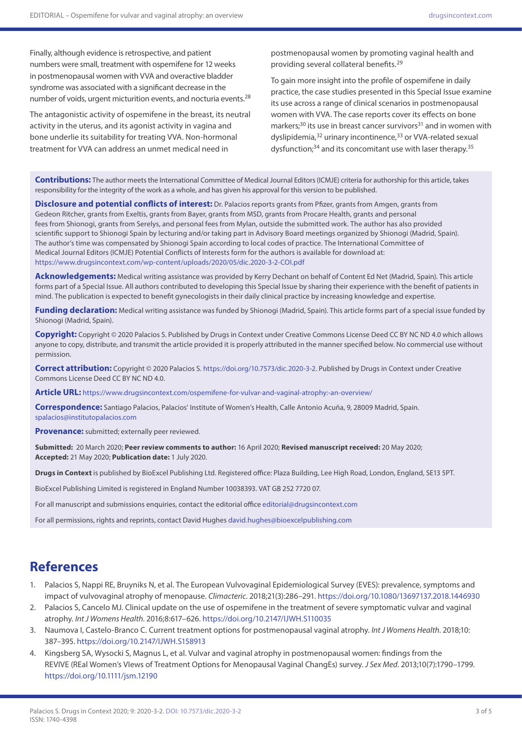Finally, although evidence is retrospective, and patient numbers were small, treatment with ospemifene for 12 weeks in postmenopausal women with VVA and overactive bladder syndrome was associated with a significant decrease in the number of voids, urgent micturition events, and nocturia events.<sup>28</sup>

The antagonistic activity of ospemifene in the breast, its neutral activity in the uterus, and its agonist activity in vagina and bone underlie its suitability for treating VVA. Non-hormonal treatment for VVA can address an unmet medical need in

postmenopausal women by promoting vaginal health and providing several collateral benefits.29

To gain more insight into the profile of ospemifene in daily practice, the case studies presented in this Special Issue examine its use across a range of clinical scenarios in postmenopausal women with VVA. The case reports cover its effects on bone markers;<sup>30</sup> its use in breast cancer survivors<sup>31</sup> and in women with dyslipidemia,<sup>32</sup> urinary incontinence,<sup>33</sup> or VVA-related sexual dysfunction;<sup>34</sup> and its concomitant use with laser therapy.<sup>35</sup>

**Contributions:** The author meets the International Committee of Medical Journal Editors (ICMJE) criteria for authorship for this article, takes responsibility for the integrity of the work as a whole, and has given his approval for this version to be published.

**Disclosure and potential conflicts of interest:** Dr. Palacios reports grants from Pfizer, grants from Amgen, grants from Gedeon Ritcher, grants from Exeltis, grants from Bayer, grants from MSD, grants from Procare Health, grants and personal fees from Shionogi, grants from Serelys, and personal fees from Mylan, outside the submitted work. The author has also provided scientific support to Shionogi Spain by lecturing and/or taking part in Advisory Board meetings organized by Shionogi (Madrid, Spain). The author's time was compensated by Shionogi Spain according to local codes of practice. The International Committee of Medical Journal Editors (ICMJE) Potential Conflicts of Interests form for the authors is available for download at: <https://www.drugsincontext.com/wp-content/uploads/2020/05/dic.2020-3-2-COI.pdf>

**Acknowledgements:** Medical writing assistance was provided by Kerry Dechant on behalf of Content Ed Net (Madrid, Spain). This article forms part of a Special Issue. All authors contributed to developing this Special Issue by sharing their experience with the benefit of patients in mind. The publication is expected to benefit gynecologists in their daily clinical practice by increasing knowledge and expertise.

Funding declaration: Medical writing assistance was funded by Shionogi (Madrid, Spain). This article forms part of a special issue funded by Shionogi (Madrid, Spain).

**Copyright:** Copyright © 2020 Palacios S. Published by Drugs in Context under Creative Commons License Deed CC BY NC ND 4.0 which allows anyone to copy, distribute, and transmit the article provided it is properly attributed in the manner specified below. No commercial use without permission.

**Correct attribution:** Copyright © 2020 Palacios S. <https://doi.org/10.7573/dic.2020-3-2>. Published by Drugs in Context under Creative Commons License Deed CC BY NC ND 4.0.

**Article URL:** <https://www.drugsincontext.com/ospemifene-for-vulvar-and-vaginal-atrophy:-an-overview/>

**Correspondence:** Santiago Palacios, Palacios' Institute of Women's Health, Calle Antonio Acuña, 9, 28009 Madrid, Spain. [spalacios@institutopalacios.com](mailto:spalacios@institutopalacios.com)

**Provenance:** submitted; externally peer reviewed.

**Submitted:** 20 March 2020; **Peer review comments to author:** 16 April 2020; **Revised manuscript received:** 20 May 2020; **Accepted:** 21 May 2020; **Publication date:** 1 July 2020.

**Drugs in Context** is published by BioExcel Publishing Ltd. Registered office: Plaza Building, Lee High Road, London, England, SE13 5PT.

BioExcel Publishing Limited is registered in England Number 10038393. VAT GB 252 7720 07.

For all manuscript and submissions enquiries, contact the editorial office editorial@drugsincontext.com

For all permissions, rights and reprints, contact David Hughes [david.hughes@bioexcelpublishing.com](mailto:david.hughes@bioexcelpublishing.com)

# **References**

- 1. Palacios S, Nappi RE, Bruyniks N, et al. The European Vulvovaginal Epidemiological Survey (EVES): prevalence, symptoms and impact of vulvovaginal atrophy of menopause. *Climacteric*. 2018;21(3):286–291. <https://doi.org/10.1080/13697137.2018.1446930>
- 2. Palacios S, Cancelo MJ. Clinical update on the use of ospemifene in the treatment of severe symptomatic vulvar and vaginal atrophy. *Int J Womens Health*. 2016;8:617–626.<https://doi.org/10.2147/IJWH.S110035>
- 3. Naumova I, Castelo-Branco C. Current treatment options for postmenopausal vaginal atrophy. *Int J Womens Health*. 2018;10: 387–395. <https://doi.org/10.2147/IJWH.S158913>
- 4. Kingsberg SA, Wysocki S, Magnus L, et al. Vulvar and vaginal atrophy in postmenopausal women: findings from the REVIVE (REal Women's VIews of Treatment Options for Menopausal Vaginal ChangEs) survey. *J Sex Med*. 2013;10(7):1790–1799. <https://doi.org/10.1111/jsm.12190>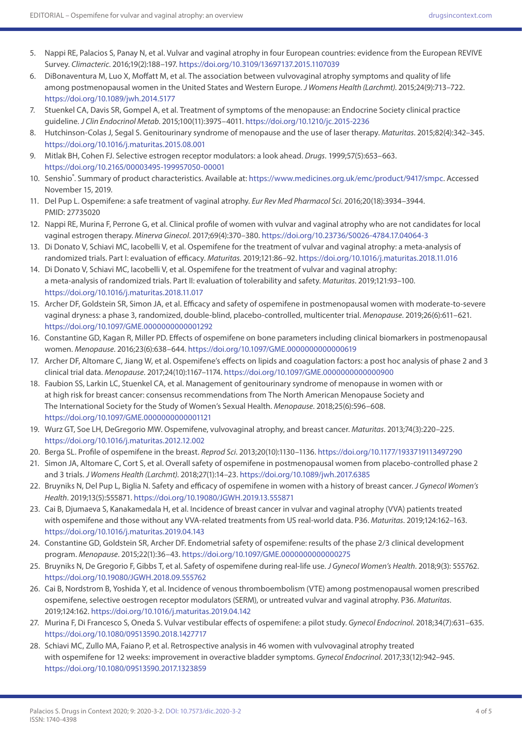- 5. Nappi RE, Palacios S, Panay N, et al. Vulvar and vaginal atrophy in four European countries: evidence from the European REVIVE Survey. *Climacteric*. 2016;19(2):188–197.<https://doi.org/10.3109/13697137.2015.1107039>
- 6. DiBonaventura M, Luo X, Moffatt M, et al. The association between vulvovaginal atrophy symptoms and quality of life among postmenopausal women in the United States and Western Europe. *J Womens Health (Larchmt)*. 2015;24(9):713–722. <https://doi.org/10.1089/jwh.2014.5177>
- 7. Stuenkel CA, Davis SR, Gompel A, et al. Treatment of symptoms of the menopause: an Endocrine Society clinical practice guideline. *J Clin Endocrinol Metab*. 2015;100(11):3975–4011.<https://doi.org/10.1210/jc.2015-2236>
- 8. Hutchinson-Colas J, Segal S. Genitourinary syndrome of menopause and the use of laser therapy. *Maturitas*. 2015;82(4):342–345. <https://doi.org/10.1016/j.maturitas.2015.08.001>
- 9. Mitlak BH, Cohen FJ. Selective estrogen receptor modulators: a look ahead. *Drugs*. 1999;57(5):653–663. <https://doi.org/10.2165/00003495-199957050-00001>
- 10. Senshio°. Summary of product characteristics. Available at: [https://www.medicines.org.uk/emc/product/9417/smpc.](https://www.medicines.org.uk/emc/product/9417/smpc) Accessed November 15, 2019.
- 11. Del Pup L. Ospemifene: a safe treatment of vaginal atrophy. *Eur Rev Med Pharmacol Sci*. 2016;20(18):3934–3944. PMID: 27735020
- 12. Nappi RE, Murina F, Perrone G, et al. Clinical profile of women with vulvar and vaginal atrophy who are not candidates for local vaginal estrogen therapy. *Minerva Ginecol*. 2017;69(4):370–380. <https://doi.org/10.23736/S0026-4784.17.04064-3>
- 13. Di Donato V, Schiavi MC, Iacobelli V, et al. Ospemifene for the treatment of vulvar and vaginal atrophy: a meta-analysis of randomized trials. Part I: evaluation of efficacy. *Maturitas.* 2019;121:86–92. <https://doi.org/10.1016/j.maturitas.2018.11.016>
- 14. Di Donato V, Schiavi MC, Iacobelli V, et al. Ospemifene for the treatment of vulvar and vaginal atrophy: a meta-analysis of randomized trials. Part II: evaluation of tolerability and safety. *Maturitas*. 2019;121:93–100. <https://doi.org/10.1016/j.maturitas.2018.11.017>
- 15. Archer DF, Goldstein SR, Simon JA, et al. Efficacy and safety of ospemifene in postmenopausal women with moderate-to-severe vaginal dryness: a phase 3, randomized, double-blind, placebo-controlled, multicenter trial. *Menopause*. 2019;26(6):611–621. <https://doi.org/10.1097/GME.0000000000001292>
- 16. Constantine GD, Kagan R, Miller PD. Effects of ospemifene on bone parameters including clinical biomarkers in postmenopausal women. *Menopause*. 2016;23(6):638–644. <https://doi.org/10.1097/GME.0000000000000619>
- 17. Archer DF, Altomare C, Jiang W, et al. Ospemifene's effects on lipids and coagulation factors: a post hoc analysis of phase 2 and 3 clinical trial data. *Menopause*. 2017;24(10):1167–1174. <https://doi.org/10.1097/GME.0000000000000900>
- 18. Faubion SS, Larkin LC, Stuenkel CA, et al. Management of genitourinary syndrome of menopause in women with or at high risk for breast cancer: consensus recommendations from The North American Menopause Society and The International Society for the Study of Women's Sexual Health. *Menopause*. 2018;25(6):596–608. <https://doi.org/10.1097/GME.0000000000001121>
- 19. Wurz GT, Soe LH, DeGregorio MW. Ospemifene, vulvovaginal atrophy, and breast cancer. *Maturitas*. 2013;74(3):220–225. <https://doi.org/10.1016/j.maturitas.2012.12.002>
- 20. Berga SL. Profile of ospemifene in the breast. *Reprod Sci*. 2013;20(10):1130–1136. <https://doi.org/10.1177/1933719113497290>
- 21. Simon JA, Altomare C, Cort S, et al. Overall safety of ospemifene in postmenopausal women from placebo-controlled phase 2 and 3 trials. *J Womens Health (Larchmt)*. 2018;27(1):14–23. <https://doi.org/10.1089/jwh.2017.6385>
- 22. Bruyniks N, Del Pup L, Biglia N. Safety and efficacy of ospemifene in women with a history of breast cancer. *J Gynecol Women's Health*. 2019;13(5):555871. https://doi.org/10.19080/JGWH.2019.13.555871
- 23. Cai B, Djumaeva S, Kanakamedala H, et al. Incidence of breast cancer in vulvar and vaginal atrophy (VVA) patients treated with ospemifene and those without any VVA-related treatments from US real-world data. P36. *Maturitas*. 2019;124:162–163. <https://doi.org/10.1016/j.maturitas.2019.04.143>
- 24. Constantine GD, Goldstein SR, Archer DF. Endometrial safety of ospemifene: results of the phase 2/3 clinical development program. *Menopause*. 2015;22(1):36–43. <https://doi.org/10.1097/GME.0000000000000275>
- 25. Bruyniks N, De Gregorio F, Gibbs T, et al. Safety of ospemifene during real-life use. *J Gynecol Women's Health*. 2018;9(3): 555762. <https://doi.org/10.19080/JGWH.2018.09.555762>
- 26. Cai B, Nordstrom B, Yoshida Y, et al. Incidence of venous thromboembolism (VTE) among postmenopausal women prescribed ospemifene, selective oestrogen receptor modulators (SERM), or untreated vulvar and vaginal atrophy. P36. *Maturitas*. 2019;124:162.<https://doi.org/10.1016/j.maturitas.2019.04.142>
- 27. Murina F, Di Francesco S, Oneda S. Vulvar vestibular effects of ospemifene: a pilot study. *Gynecol Endocrinol*. 2018;34(7):631–635. <https://doi.org/10.1080/09513590.2018.1427717>
- 28. Schiavi MC, Zullo MA, Faiano P, et al. Retrospective analysis in 46 women with vulvovaginal atrophy treated with ospemifene for 12 weeks: improvement in overactive bladder symptoms. *Gynecol Endocrinol*. 2017;33(12):942–945. <https://doi.org/10.1080/09513590.2017.1323859>